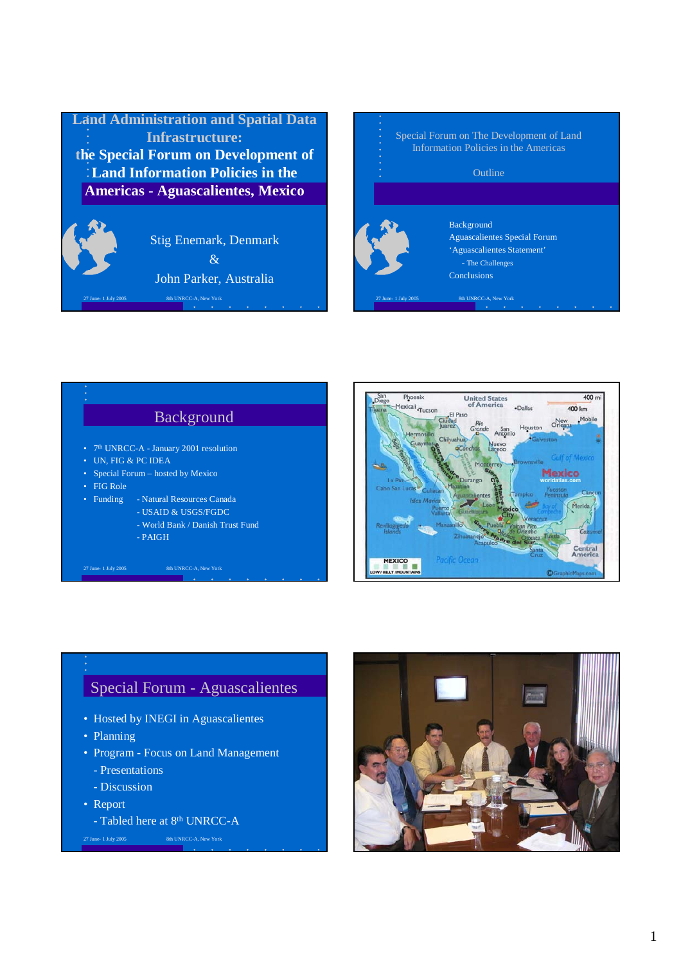**Land Administration and Spatial Data Infrastructure: the Special Forum on Development of Land Information Policies in the Americas - Aguascalientes, Mexico**









# Special Forum - Aguascalientes

- Hosted by INEGI in Aguascalientes
- Planning
- Program Focus on Land Management
	- Presentations
	- Discussion
- Report
- Tabled here at 8th UNRCC-A
	-

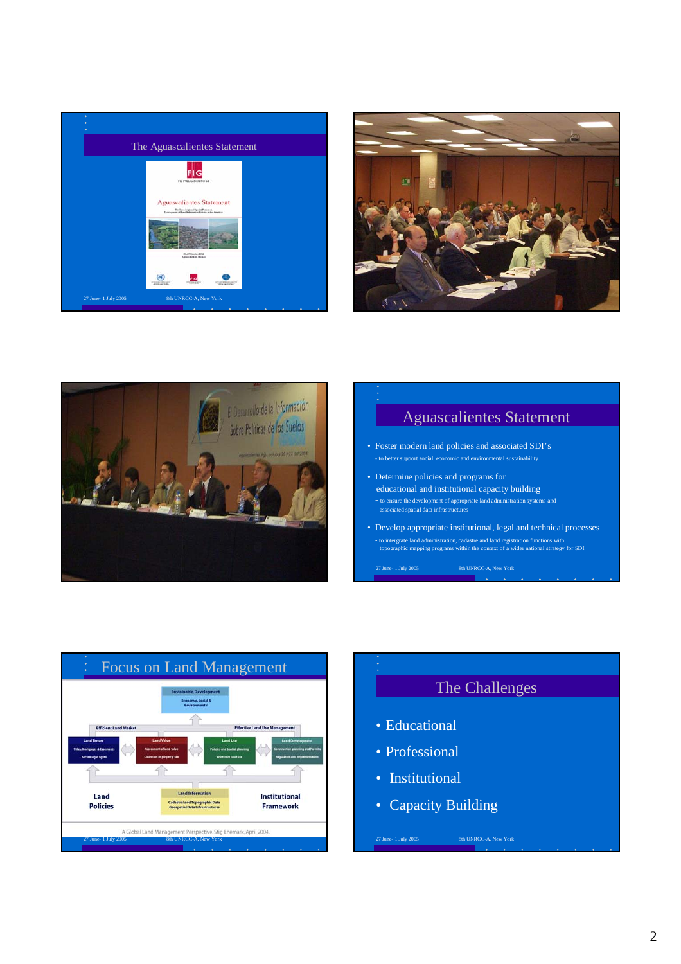





# Aguascalientes Statement • Foster modern land policies and associated SDI's - to better support social, economic and environmental sustainability • Determine policies and programs for educational and institutional capacity building - to ensure the development of appropriate land administration systems and associated spatial data infrastructures • Develop appropriate institutional, legal and technical processes - to intergrate land administration, cadastre and land registration functions with topographic mapping programs within the context of a wider national strategy for SDI



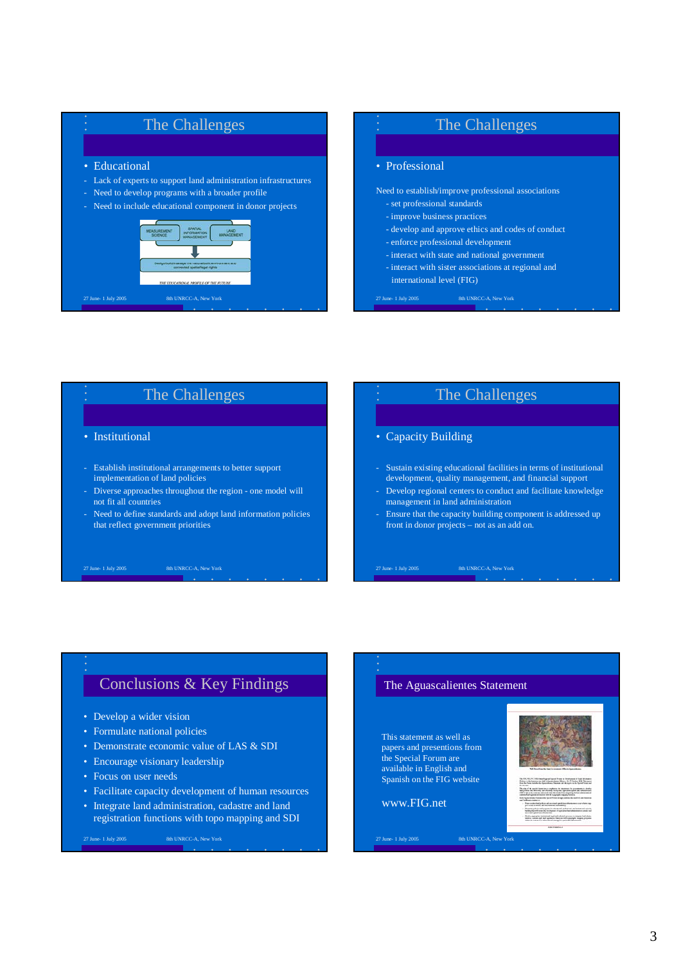



| The Challenges                                                                                                                                             | The Challenges                                                                                                                                                                                      |
|------------------------------------------------------------------------------------------------------------------------------------------------------------|-----------------------------------------------------------------------------------------------------------------------------------------------------------------------------------------------------|
| • Institutional                                                                                                                                            | • Capacity Building                                                                                                                                                                                 |
| - Establish institutional arrangements to better support<br>implementation of land policies<br>- Diverse approaches throughout the region - one model will | - Sustain existing educational facilities in terms of institutional<br>development, quality management, and financial support<br>Develop regional centers to conduct and facilitate knowledge<br>÷. |
| not fit all countries<br>- Need to define standards and adopt land information policies<br>that reflect government priorities                              | management in land administration<br>Ensure that the capacity building component is addressed up<br>41<br>front in donor projects – not as an add on.                                               |
| 27 June- 1 July 2005<br>8th UNRCC-A. New York                                                                                                              | 27 June- 1 July 2005<br>8th UNRCC-A. New York                                                                                                                                                       |

## Conclusions & Key Findings

- Develop a wider vision
- Formulate national policies
- Demonstrate economic value of LAS & SDI
- Encourage visionary leadership
- Focus on user needs
- Facilitate capacity development of human resources
- Integrate land administration, cadastre and land registration functions with topo mapping and SDI

## The Aguascalientes Statement

This statement as well as papers and presentions from the Special Forum are available in English and Spanish on the FIG website

### www.FIG.net



.<br>In 1984, base Regional: Special Process on The Algoritan of Land Salamanne<br>In Lincolnic and And Aufganishtening Market, Dr. 27 The Aug 2006, This appro .<br>An electric del segue del format mun su ampliante de la registatura del processora de chiesti per anticola de<br>Marca del segue del segue del control del processora comprenente control del segue marca del control del cont<br> .<br>Particular in the property of the second specification into a second to a second control<br>The property of the property of the second control and second control specifications. Ford a symptom instanced Apd solutional process in impact but above and the state of the state of the state of the state of the state of the state of the state of the state of the state of the state of the state of the sta